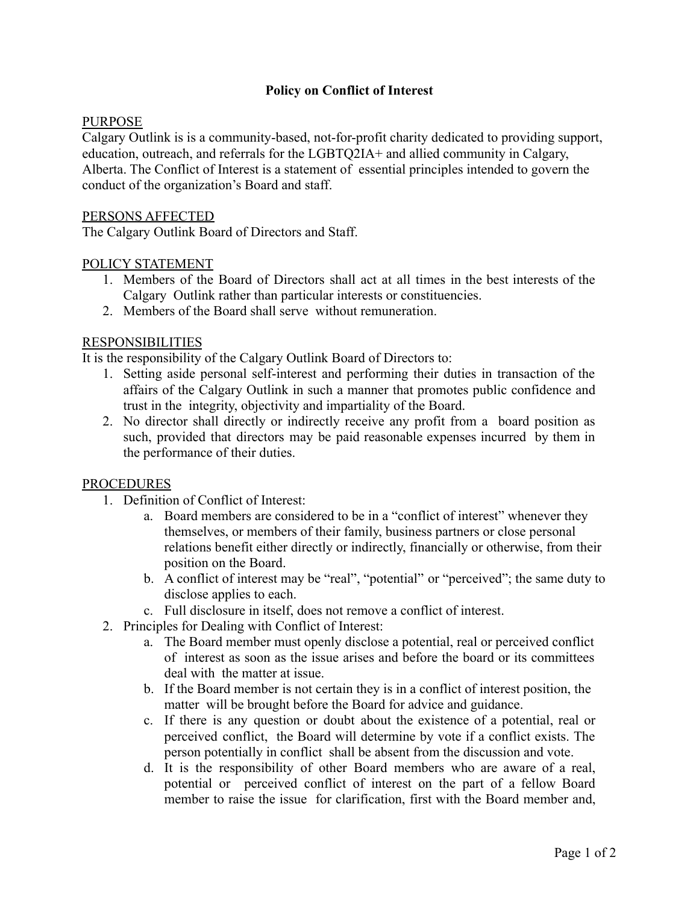# **Policy on Conflict of Interest**

## PURPOSE

Calgary Outlink is is a community-based, not-for-profit charity dedicated to providing support, education, outreach, and referrals for the LGBTQ2IA+ and allied community in Calgary, Alberta. The Conflict of Interest is a statement of essential principles intended to govern the conduct of the organization's Board and staff.

#### PERSONS AFFECTED

The Calgary Outlink Board of Directors and Staff.

## POLICY STATEMENT

- 1. Members of the Board of Directors shall act at all times in the best interests of the Calgary Outlink rather than particular interests or constituencies.
- 2. Members of the Board shall serve without remuneration.

### RESPONSIBILITIES

It is the responsibility of the Calgary Outlink Board of Directors to:

- 1. Setting aside personal self-interest and performing their duties in transaction of the affairs of the Calgary Outlink in such a manner that promotes public confidence and trust in the integrity, objectivity and impartiality of the Board.
- 2. No director shall directly or indirectly receive any profit from a board position as such, provided that directors may be paid reasonable expenses incurred by them in the performance of their duties.

#### PROCEDURES

- 1. Definition of Conflict of Interest:
	- a. Board members are considered to be in a "conflict of interest" whenever they themselves, or members of their family, business partners or close personal relations benefit either directly or indirectly, financially or otherwise, from their position on the Board.
	- b. A conflict of interest may be "real", "potential" or "perceived"; the same duty to disclose applies to each.
	- c. Full disclosure in itself, does not remove a conflict of interest.
- 2. Principles for Dealing with Conflict of Interest:
	- a. The Board member must openly disclose a potential, real or perceived conflict of interest as soon as the issue arises and before the board or its committees deal with the matter at issue.
	- b. If the Board member is not certain they is in a conflict of interest position, the matter will be brought before the Board for advice and guidance.
	- c. If there is any question or doubt about the existence of a potential, real or perceived conflict, the Board will determine by vote if a conflict exists. The person potentially in conflict shall be absent from the discussion and vote.
	- d. It is the responsibility of other Board members who are aware of a real, potential or perceived conflict of interest on the part of a fellow Board member to raise the issue for clarification, first with the Board member and,